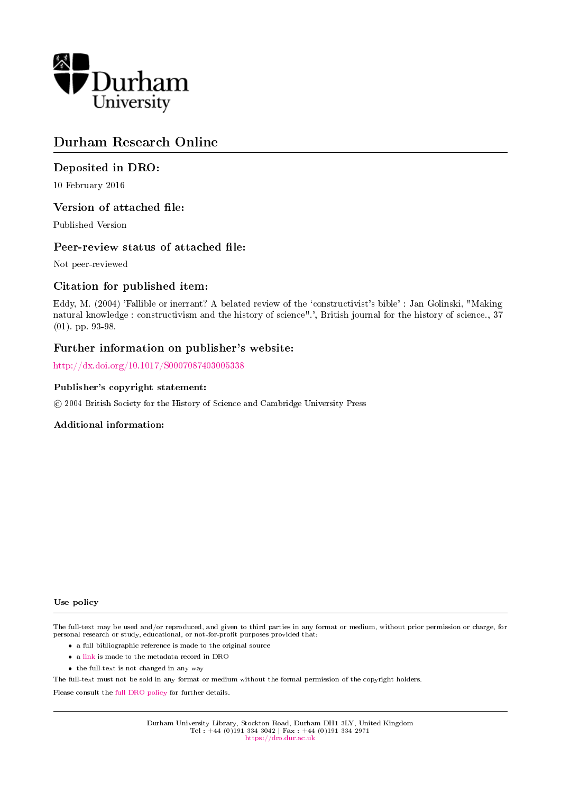

## Durham Research Online

## Deposited in DRO:

10 February 2016

## Version of attached file:

Published Version

## Peer-review status of attached file:

Not peer-reviewed

## Citation for published item:

Eddy, M. (2004) 'Fallible or inerrant? A belated review of the `constructivist's bible' : Jan Golinski, "Making natural knowledge : constructivism and the history of science".', British journal for the history of science., 37 (01). pp. 93-98.

### Further information on publisher's website:

<http://dx.doi.org/10.1017/S0007087403005338>

### Publisher's copyright statement:

c 2004 British Society for the History of Science and Cambridge University Press

### Additional information:

Use policy

The full-text may be used and/or reproduced, and given to third parties in any format or medium, without prior permission or charge, for personal research or study, educational, or not-for-profit purposes provided that:

- a full bibliographic reference is made to the original source
- a [link](http://dro.dur.ac.uk/17485/) is made to the metadata record in DRO
- the full-text is not changed in any way

The full-text must not be sold in any format or medium without the formal permission of the copyright holders.

Please consult the [full DRO policy](https://dro.dur.ac.uk/policies/usepolicy.pdf) for further details.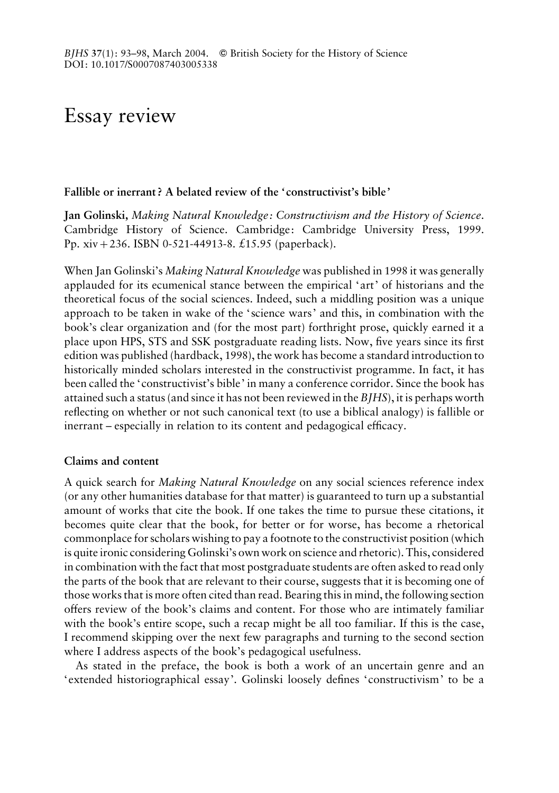# Essay review

### Fallible or inerrant? A belated review of the 'constructivist's bible'

Jan Golinski, Making Natural Knowledge: Constructivism and the History of Science. Cambridge History of Science. Cambridge: Cambridge University Press, 1999. Pp. xiv*+*236. ISBN 0-521-44913-8. £15.95 (paperback).

When Jan Golinski's Making Natural Knowledge was published in 1998 it was generally applauded for its ecumenical stance between the empirical ' art' of historians and the theoretical focus of the social sciences. Indeed, such a middling position was a unique approach to be taken in wake of the ' science wars' and this, in combination with the book's clear organization and (for the most part) forthright prose, quickly earned it a place upon HPS, STS and SSK postgraduate reading lists. Now, five years since its first edition was published (hardback, 1998), the work has become a standard introduction to historically minded scholars interested in the constructivist programme. In fact, it has been called the 'constructivist's bible' in many a conference corridor. Since the book has attained such a status (and since it has not been reviewed in the  $BIHS$ ), it is perhaps worth reflecting on whether or not such canonical text (to use a biblical analogy) is fallible or inerrant – especially in relation to its content and pedagogical efficacy.

### Claims and content

A quick search for Making Natural Knowledge on any social sciences reference index (or any other humanities database for that matter) is guaranteed to turn up a substantial amount of works that cite the book. If one takes the time to pursue these citations, it becomes quite clear that the book, for better or for worse, has become a rhetorical commonplace for scholars wishing to pay a footnote to the constructivist position (which is quite ironic considering Golinski's own work on science and rhetoric). This, considered in combination with the fact that most postgraduate students are often asked to read only the parts of the book that are relevant to their course, suggests that it is becoming one of those works that is more often cited than read. Bearing this in mind, the following section offers review of the book's claims and content. For those who are intimately familiar with the book's entire scope, such a recap might be all too familiar. If this is the case, I recommend skipping over the next few paragraphs and turning to the second section where I address aspects of the book's pedagogical usefulness.

As stated in the preface, the book is both a work of an uncertain genre and an 'extended historiographical essay'. Golinski loosely defines 'constructivism' to be a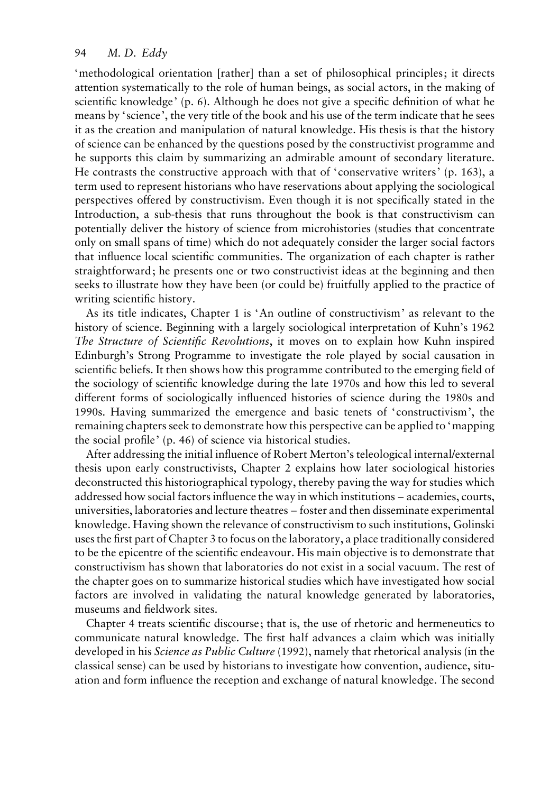### 94 M. D. Eddy

'methodological orientation [rather] than a set of philosophical principles; it directs attention systematically to the role of human beings, as social actors, in the making of scientific knowledge' (p. 6). Although he does not give a specific definition of what he means by ' science', the very title of the book and his use of the term indicate that he sees it as the creation and manipulation of natural knowledge. His thesis is that the history of science can be enhanced by the questions posed by the constructivist programme and he supports this claim by summarizing an admirable amount of secondary literature. He contrasts the constructive approach with that of 'conservative writers' (p. 163), a term used to represent historians who have reservations about applying the sociological perspectives offered by constructivism. Even though it is not specifically stated in the Introduction, a sub-thesis that runs throughout the book is that constructivism can potentially deliver the history of science from microhistories (studies that concentrate only on small spans of time) which do not adequately consider the larger social factors that influence local scientific communities. The organization of each chapter is rather straightforward; he presents one or two constructivist ideas at the beginning and then seeks to illustrate how they have been (or could be) fruitfully applied to the practice of writing scientific history.

As its title indicates, Chapter 1 is 'An outline of constructivism' as relevant to the history of science. Beginning with a largely sociological interpretation of Kuhn's 1962 The Structure of Scientific Revolutions, it moves on to explain how Kuhn inspired Edinburgh's Strong Programme to investigate the role played by social causation in scientific beliefs. It then shows how this programme contributed to the emerging field of the sociology of scientific knowledge during the late 1970s and how this led to several different forms of sociologically influenced histories of science during the 1980s and 1990s. Having summarized the emergence and basic tenets of 'constructivism', the remaining chapters seek to demonstrate how this perspective can be applied to 'mapping the social profile' (p. 46) of science via historical studies.

After addressing the initial influence of Robert Merton's teleological internal/external thesis upon early constructivists, Chapter 2 explains how later sociological histories deconstructed this historiographical typology, thereby paving the way for studies which addressed how social factors influence the way in which institutions – academies, courts, universities, laboratories and lecture theatres – foster and then disseminate experimental knowledge. Having shown the relevance of constructivism to such institutions, Golinski uses the first part of Chapter 3 to focus on the laboratory, a place traditionally considered to be the epicentre of the scientific endeavour. His main objective is to demonstrate that constructivism has shown that laboratories do not exist in a social vacuum. The rest of the chapter goes on to summarize historical studies which have investigated how social factors are involved in validating the natural knowledge generated by laboratories, museums and fieldwork sites.

Chapter 4 treats scientific discourse; that is, the use of rhetoric and hermeneutics to communicate natural knowledge. The first half advances a claim which was initially developed in his Science as Public Culture (1992), namely that rhetorical analysis (in the classical sense) can be used by historians to investigate how convention, audience, situation and form influence the reception and exchange of natural knowledge. The second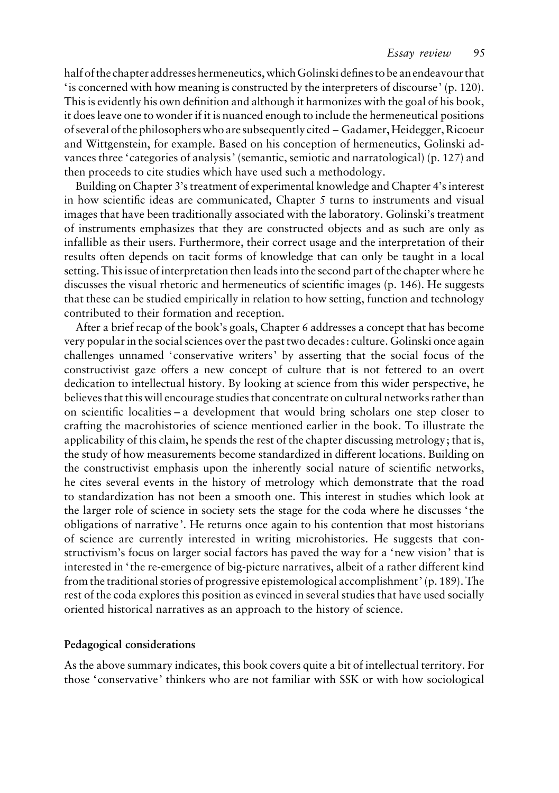half of the chapter addresses hermeneutics, which Golinski defines to be an endeavour that 'is concerned with how meaning is constructed by the interpreters of discourse' (p. 120). This is evidently his own definition and although it harmonizes with the goal of his book, it does leave one to wonder if it is nuanced enough to include the hermeneutical positions of several of the philosophers who are subsequently cited – Gadamer, Heidegger, Ricoeur and Wittgenstein, for example. Based on his conception of hermeneutics, Golinski advances three 'categories of analysis' (semantic, semiotic and narratological) (p. 127) and then proceeds to cite studies which have used such a methodology.

Building on Chapter 3's treatment of experimental knowledge and Chapter 4's interest in how scientific ideas are communicated, Chapter 5 turns to instruments and visual images that have been traditionally associated with the laboratory. Golinski's treatment of instruments emphasizes that they are constructed objects and as such are only as infallible as their users. Furthermore, their correct usage and the interpretation of their results often depends on tacit forms of knowledge that can only be taught in a local setting. This issue of interpretation then leads into the second part of the chapter where he discusses the visual rhetoric and hermeneutics of scientific images (p. 146). He suggests that these can be studied empirically in relation to how setting, function and technology contributed to their formation and reception.

After a brief recap of the book's goals, Chapter 6 addresses a concept that has become very popular in the social sciences over the past two decades: culture. Golinski once again challenges unnamed 'conservative writers' by asserting that the social focus of the constructivist gaze offers a new concept of culture that is not fettered to an overt dedication to intellectual history. By looking at science from this wider perspective, he believes that this will encourage studies that concentrate on cultural networks rather than on scientific localities – a development that would bring scholars one step closer to crafting the macrohistories of science mentioned earlier in the book. To illustrate the applicability of this claim, he spends the rest of the chapter discussing metrology; that is, the study of how measurements become standardized in different locations. Building on the constructivist emphasis upon the inherently social nature of scientific networks, he cites several events in the history of metrology which demonstrate that the road to standardization has not been a smooth one. This interest in studies which look at the larger role of science in society sets the stage for the coda where he discusses ' the obligations of narrative'. He returns once again to his contention that most historians of science are currently interested in writing microhistories. He suggests that constructivism's focus on larger social factors has paved the way for a 'new vision' that is interested in ' the re-emergence of big-picture narratives, albeit of a rather different kind from the traditional stories of progressive epistemological accomplishment' (p. 189). The rest of the coda explores this position as evinced in several studies that have used socially oriented historical narratives as an approach to the history of science.

### Pedagogical considerations

As the above summary indicates, this book covers quite a bit of intellectual territory. For those 'conservative' thinkers who are not familiar with SSK or with how sociological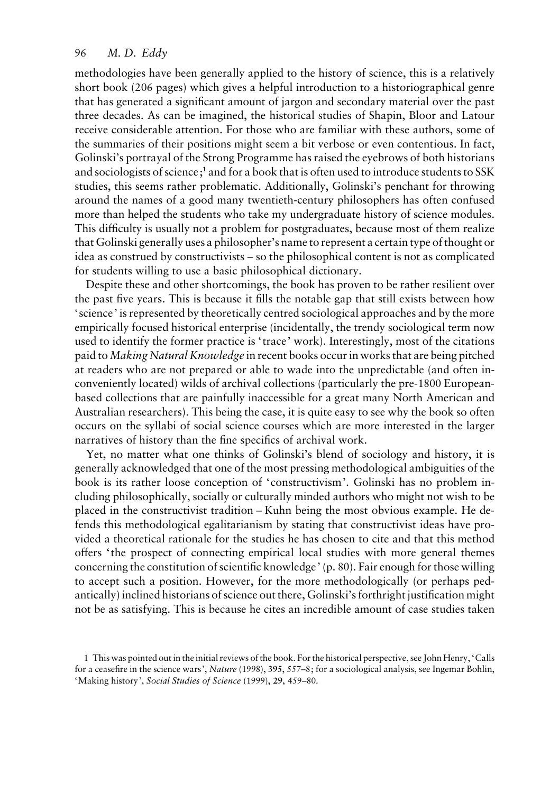### 96 M. D. Eddy

methodologies have been generally applied to the history of science, this is a relatively short book (206 pages) which gives a helpful introduction to a historiographical genre that has generated a significant amount of jargon and secondary material over the past three decades. As can be imagined, the historical studies of Shapin, Bloor and Latour receive considerable attention. For those who are familiar with these authors, some of the summaries of their positions might seem a bit verbose or even contentious. In fact, Golinski's portrayal of the Strong Programme has raised the eyebrows of both historians and sociologists of science;<sup>1</sup> and for a book that is often used to introduce students to SSK studies, this seems rather problematic. Additionally, Golinski's penchant for throwing around the names of a good many twentieth-century philosophers has often confused more than helped the students who take my undergraduate history of science modules. This difficulty is usually not a problem for postgraduates, because most of them realize that Golinski generally uses a philosopher's name to represent a certain type of thought or idea as construed by constructivists – so the philosophical content is not as complicated for students willing to use a basic philosophical dictionary.

Despite these and other shortcomings, the book has proven to be rather resilient over the past five years. This is because it fills the notable gap that still exists between how ' science' is represented by theoretically centred sociological approaches and by the more empirically focused historical enterprise (incidentally, the trendy sociological term now used to identify the former practice is ' trace' work). Interestingly, most of the citations paid to Making Natural Knowledge in recent books occur in works that are being pitched at readers who are not prepared or able to wade into the unpredictable (and often inconveniently located) wilds of archival collections (particularly the pre-1800 Europeanbased collections that are painfully inaccessible for a great many North American and Australian researchers). This being the case, it is quite easy to see why the book so often occurs on the syllabi of social science courses which are more interested in the larger narratives of history than the fine specifics of archival work.

Yet, no matter what one thinks of Golinski's blend of sociology and history, it is generally acknowledged that one of the most pressing methodological ambiguities of the book is its rather loose conception of 'constructivism'. Golinski has no problem including philosophically, socially or culturally minded authors who might not wish to be placed in the constructivist tradition – Kuhn being the most obvious example. He defends this methodological egalitarianism by stating that constructivist ideas have provided a theoretical rationale for the studies he has chosen to cite and that this method offers ' the prospect of connecting empirical local studies with more general themes concerning the constitution of scientific knowledge' (p. 80). Fair enough for those willing to accept such a position. However, for the more methodologically (or perhaps pedantically) inclined historians of science out there, Golinski's forthright justification might not be as satisfying. This is because he cites an incredible amount of case studies taken

<sup>1</sup> This was pointed out in the initial reviews of the book. For the historical perspective, see John Henry, 'Calls for a ceasefire in the science wars', Nature (1998), 395, 557–8; for a sociological analysis, see Ingemar Bohlin, 'Making history', Social Studies of Science (1999), 29, 459–80.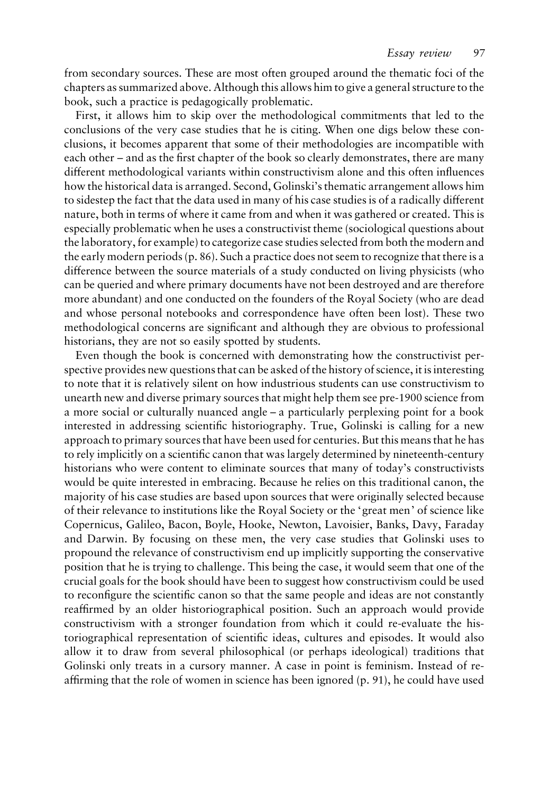from secondary sources. These are most often grouped around the thematic foci of the chapters as summarized above. Although this allows him to give a general structure to the book, such a practice is pedagogically problematic.

First, it allows him to skip over the methodological commitments that led to the conclusions of the very case studies that he is citing. When one digs below these conclusions, it becomes apparent that some of their methodologies are incompatible with each other – and as the first chapter of the book so clearly demonstrates, there are many different methodological variants within constructivism alone and this often influences how the historical data is arranged. Second, Golinski's thematic arrangement allows him to sidestep the fact that the data used in many of his case studies is of a radically different nature, both in terms of where it came from and when it was gathered or created. This is especially problematic when he uses a constructivist theme (sociological questions about the laboratory, for example) to categorize case studies selected from both the modern and the early modern periods (p. 86). Such a practice does not seem to recognize that there is a difference between the source materials of a study conducted on living physicists (who can be queried and where primary documents have not been destroyed and are therefore more abundant) and one conducted on the founders of the Royal Society (who are dead and whose personal notebooks and correspondence have often been lost). These two methodological concerns are significant and although they are obvious to professional historians, they are not so easily spotted by students.

Even though the book is concerned with demonstrating how the constructivist perspective provides new questions that can be asked of the history of science, it is interesting to note that it is relatively silent on how industrious students can use constructivism to unearth new and diverse primary sources that might help them see pre-1900 science from a more social or culturally nuanced angle – a particularly perplexing point for a book interested in addressing scientific historiography. True, Golinski is calling for a new approach to primary sources that have been used for centuries. But this means that he has to rely implicitly on a scientific canon that was largely determined by nineteenth-century historians who were content to eliminate sources that many of today's constructivists would be quite interested in embracing. Because he relies on this traditional canon, the majority of his case studies are based upon sources that were originally selected because of their relevance to institutions like the Royal Society or the ' great men' of science like Copernicus, Galileo, Bacon, Boyle, Hooke, Newton, Lavoisier, Banks, Davy, Faraday and Darwin. By focusing on these men, the very case studies that Golinski uses to propound the relevance of constructivism end up implicitly supporting the conservative position that he is trying to challenge. This being the case, it would seem that one of the crucial goals for the book should have been to suggest how constructivism could be used to reconfigure the scientific canon so that the same people and ideas are not constantly reaffirmed by an older historiographical position. Such an approach would provide constructivism with a stronger foundation from which it could re-evaluate the historiographical representation of scientific ideas, cultures and episodes. It would also allow it to draw from several philosophical (or perhaps ideological) traditions that Golinski only treats in a cursory manner. A case in point is feminism. Instead of reaffirming that the role of women in science has been ignored (p. 91), he could have used